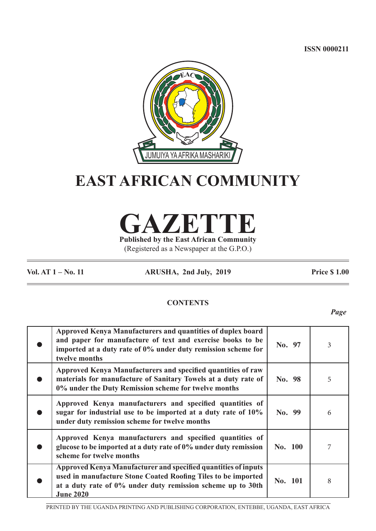**ISSN 0000211**



# **EAST AFRICAN COMMUNITY**

**GAZETTE Published by the East African Community**

(Registered as a Newspaper at the G.P.O.)

**Vol. AT 1 – No. 11 ARUSHA, 2nd July, 2019 Price \$ 1.00**

# **CONTENTS**

*Page*

| Approved Kenya Manufacturers and quantities of duplex board<br>and paper for manufacture of text and exercise books to be<br>imported at a duty rate of 0% under duty remission scheme for<br>twelve months               | No. 97  | 3 |
|---------------------------------------------------------------------------------------------------------------------------------------------------------------------------------------------------------------------------|---------|---|
| Approved Kenya Manufacturers and specified quantities of raw<br>materials for manufacture of Sanitary Towels at a duty rate of<br>0% under the Duty Remission scheme for twelve months                                    | No. 98  | 5 |
| Approved Kenya manufacturers and specified quantities of<br>sugar for industrial use to be imported at a duty rate of 10%<br>under duty remission scheme for twelve months                                                | No. 99  | 6 |
| Approved Kenya manufacturers and specified quantities of<br>glucose to be imported at a duty rate of 0% under duty remission<br>scheme for twelve months                                                                  | No. 100 |   |
| <b>Approved Kenya Manufacturer and specified quantities of inputs</b><br>used in manufacture Stone Coated Roofing Tiles to be imported<br>at a duty rate of 0% under duty remission scheme up to 30th<br><b>June 2020</b> | No. 101 | 8 |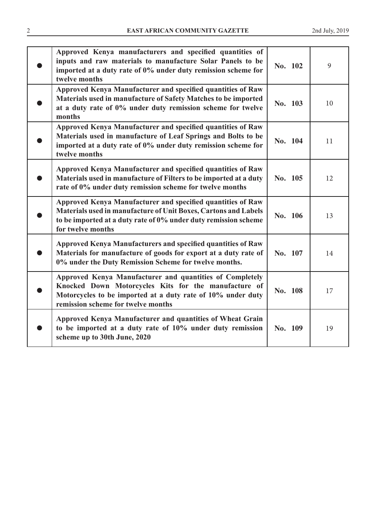| Approved Kenya manufacturers and specified quantities of<br>inputs and raw materials to manufacture Solar Panels to be<br>imported at a duty rate of 0% under duty remission scheme for<br>twelve months               | No. 102 | 9  |
|------------------------------------------------------------------------------------------------------------------------------------------------------------------------------------------------------------------------|---------|----|
| Approved Kenya Manufacturer and specified quantities of Raw<br>Materials used in manufacture of Safety Matches to be imported<br>at a duty rate of 0% under duty remission scheme for twelve<br>months                 | No. 103 | 10 |
| Approved Kenya Manufacturer and specified quantities of Raw<br>Materials used in manufacture of Leaf Springs and Bolts to be<br>imported at a duty rate of 0% under duty remission scheme for<br>twelve months         | No. 104 | 11 |
| Approved Kenya Manufacturer and specified quantities of Raw<br>Materials used in manufacture of Filters to be imported at a duty<br>rate of 0% under duty remission scheme for twelve months                           | No. 105 | 12 |
| Approved Kenya Manufacturer and specified quantities of Raw<br>Materials used in manufacture of Unit Boxes, Cartons and Labels<br>to be imported at a duty rate of 0% under duty remission scheme<br>for twelve months | No. 106 | 13 |
| <b>Approved Kenya Manufacturers and specified quantities of Raw</b><br>Materials for manufacture of goods for export at a duty rate of<br>0% under the Duty Remission Scheme for twelve months.                        | No. 107 | 14 |
| Approved Kenya Manufacturer and quantities of Completely<br>Knocked Down Motorcycles Kits for the manufacture of<br>Motorcycles to be imported at a duty rate of 10% under duty<br>remission scheme for twelve months  | No. 108 | 17 |
| Approved Kenya Manufacturer and quantities of Wheat Grain<br>to be imported at a duty rate of 10% under duty remission<br>scheme up to 30th June, 2020                                                                 | No. 109 | 19 |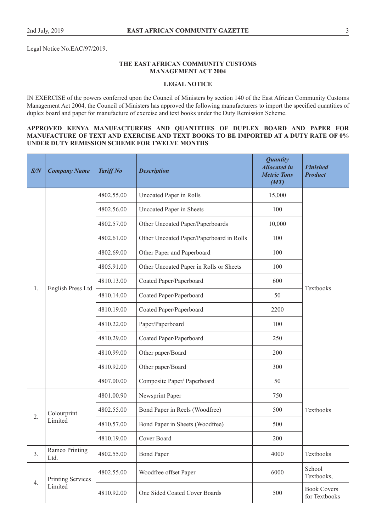Legal Notice No.EAC/97/2019.

# **THE EAST AFRICAN COMMUNITY CUSTOMS MANAGEMENT ACT 2004**

#### **LEGAL NOTICE**

IN EXERCISE of the powers conferred upon the Council of Ministers by section 140 of the East African Community Customs Management Act 2004, the Council of Ministers has approved the following manufacturers to import the specified quantities of duplex board and paper for manufacture of exercise and text books under the Duty Remission Scheme.

# **APPROVED KENYA MANUFACTURERS AND QUANTITIES OF DUPLEX BOARD AND PAPER FOR MANUFACTURE OF TEXT AND EXERCISE AND TEXT BOOKS TO BE IMPORTED AT A DUTY RATE OF 0% UNDER DUTY REMISSION SCHEME FOR TWELVE MONTHS**

| S/N | <b>Company Name</b>    | <b>Tariff No</b> | <b>Description</b>                       | <b>Quantity</b><br><b>Allocated in</b><br><b>Metric Tons</b><br>(MT) | <b>Finished</b><br><b>Product</b>   |
|-----|------------------------|------------------|------------------------------------------|----------------------------------------------------------------------|-------------------------------------|
|     |                        | 4802.55.00       | Uncoated Paper in Rolls                  | 15,000                                                               |                                     |
|     |                        | 4802.56.00       | Uncoated Paper in Sheets                 | 100                                                                  |                                     |
|     |                        | 4802.57.00       | Other Uncoated Paper/Paperboards         | 10,000                                                               |                                     |
|     |                        | 4802.61.00       | Other Uncoated Paper/Paperboard in Rolls | 100                                                                  |                                     |
|     |                        | 4802.69.00       | Other Paper and Paperboard               | 100                                                                  |                                     |
|     |                        | 4805.91.00       | Other Uncoated Paper in Rolls or Sheets  | 100                                                                  |                                     |
|     |                        | 4810.13.00       | Coated Paper/Paperboard                  | 600                                                                  | Textbooks                           |
| 1.  | English Press Ltd      | 4810.14.00       | Coated Paper/Paperboard                  | 50                                                                   |                                     |
|     |                        | 4810.19.00       | Coated Paper/Paperboard                  | 2200                                                                 |                                     |
|     |                        | 4810.22.00       | Paper/Paperboard                         | 100                                                                  |                                     |
|     |                        | 4810.29.00       | Coated Paper/Paperboard                  | 250                                                                  |                                     |
|     |                        | 4810.99.00       | Other paper/Board                        | 200                                                                  |                                     |
|     |                        | 4810.92.00       | Other paper/Board                        | 300                                                                  |                                     |
|     |                        | 4807.00.00       | Composite Paper/ Paperboard              | 50                                                                   |                                     |
|     |                        | 4801.00.90       | Newsprint Paper                          | 750                                                                  |                                     |
|     | Colourprint            | 4802.55.00       | Bond Paper in Reels (Woodfree)           | 500                                                                  | Textbooks                           |
| 2.  | Limited                | 4810.57.00       | Bond Paper in Sheets (Woodfree)          | 500                                                                  |                                     |
|     |                        | 4810.19.00       | Cover Board                              | 200                                                                  |                                     |
| 3.  | Ramco Printing<br>Ltd. | 4802.55.00       | <b>Bond Paper</b>                        | 4000                                                                 | Textbooks                           |
|     | Printing Services      | 4802.55.00       | Woodfree offset Paper                    | 6000                                                                 | School<br>Textbooks,                |
| 4.  | Limited                | 4810.92.00       | One Sided Coated Cover Boards            | 500                                                                  | <b>Book Covers</b><br>for Textbooks |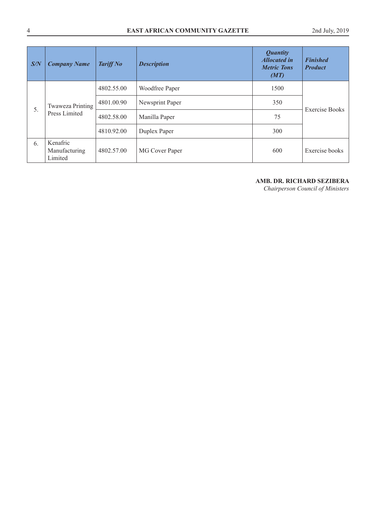| S/N | <b>Company Name</b>                  | <b>Tariff No</b> | <b>Description</b> | <b>Quantity</b><br><b>Allocated in</b><br><b>Metric Tons</b><br>(MT) | <b>Finished</b><br><b>Product</b> |
|-----|--------------------------------------|------------------|--------------------|----------------------------------------------------------------------|-----------------------------------|
|     |                                      | 4802.55.00       | Woodfree Paper     | 1500                                                                 |                                   |
|     | Twaweza Printing<br>Press Limited    | 4801.00.90       | Newsprint Paper    | 350                                                                  | <b>Exercise Books</b>             |
| 5.  |                                      | 4802.58.00       | Manilla Paper      | 75                                                                   |                                   |
|     |                                      | 4810.92.00       | Duplex Paper       | 300                                                                  |                                   |
| 6.  | Kenafric<br>Manufacturing<br>Limited | 4802.57.00       | MG Cover Paper     | 600                                                                  | Exercise books                    |

# **AMB. DR. RICHARD SEZIBERA**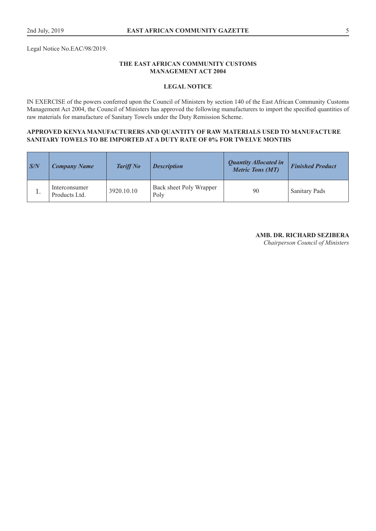Legal Notice No.EAC/98/2019.

# **THE EAST AFRICAN COMMUNITY CUSTOMS MANAGEMENT ACT 2004**

# **LEGAL NOTICE**

IN EXERCISE of the powers conferred upon the Council of Ministers by section 140 of the East African Community Customs Management Act 2004, the Council of Ministers has approved the following manufacturers to import the specified quantities of raw materials for manufacture of Sanitary Towels under the Duty Remission Scheme.

## **APPROVED KENYA MANUFACTURERS AND QUANTITY OF RAW MATERIALS USED TO MANUFACTURE SANITARY TOWELS TO BE IMPORTED AT A DUTY RATE OF 0% FOR TWELVE MONTHS**

| S/N      | <b>Company Name</b>            | <b>Tariff No</b> | <b>Description</b>              | <b>Quantity Allocated in</b><br><b>Metric Tons (MT)</b> | <b>Finished Product</b> |
|----------|--------------------------------|------------------|---------------------------------|---------------------------------------------------------|-------------------------|
| <b>.</b> | Interconsumer<br>Products Ltd. | 3920.10.10       | Back sheet Poly Wrapper<br>Poly | 90                                                      | <b>Sanitary Pads</b>    |

# **AMB. DR. RICHARD SEZIBERA**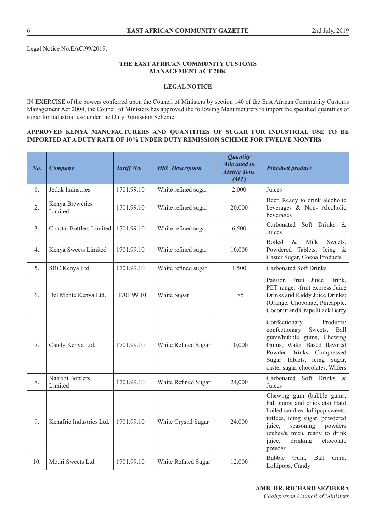# **THE EAST AFRICAN COMMUNITY CUSTOMS MANAGEMENT ACT 2004**

# **LEGAL NOTICE**

IN EXERCISE of the powers conferred upon the Council of Ministers by section 140 of the East African Community Customs Management Act 2004, the Council of Ministers has approved the following Manufacturers to import the specified quantities of sugar for industrial use under the Duty Remission Scheme.

## **APPROVED KENYA MANUFACTURERS AND QUANTITIES OF SUGAR FOR INDUSTRIAL USE TO BE IMPORTED AT A DUTY RATE OF 10% UNDER DUTY REMISSION SCHEME FOR TWELVE MONTHS**

| No. | <b>Company</b>                  | Tariff No. | <b>HSC</b> Description | <b>Quantity</b><br><b>Allocated in</b><br><b>Metric Tons</b><br>(MT) | <b>Finished product</b>                                                                                                                                                                                                                         |
|-----|---------------------------------|------------|------------------------|----------------------------------------------------------------------|-------------------------------------------------------------------------------------------------------------------------------------------------------------------------------------------------------------------------------------------------|
| 1.  | Jetlak Industries               | 1701.99.10 | White refined sugar    | 2,000                                                                | Juices                                                                                                                                                                                                                                          |
| 2.  | Kenya Breweries<br>Limited      | 1701.99.10 | White refined sugar    | 20,000                                                               | Beer, Ready to drink alcoholic<br>beverages & Non-Alcoholic<br>beverages                                                                                                                                                                        |
| 3.  | <b>Coastal Bottlers Limited</b> | 1701.99.10 | White refined sugar    | 6,500                                                                | Soft Drinks<br>Carbonated<br>$\&$<br>Juices                                                                                                                                                                                                     |
| 4.  | Kenya Sweets Limited            | 1701.99.10 | White refined sugar    | 10,000                                                               | <b>Boiled</b><br>$\&$<br>Milk<br>Sweets,<br>Powdered Tablets, Icing &<br>Caster Sugar, Cocoa Products                                                                                                                                           |
| 5.  | SBC Kenya Ltd.                  | 1701.99.10 | White refined sugar    | 1,500                                                                | <b>Carbonated Soft Drinks</b>                                                                                                                                                                                                                   |
| 6.  | Del Monte Kenya Ltd.            | 1701.99.10 | White Sugar            | 185                                                                  | Passion Fruit Juice Drink,<br>PET range: - fruit express Juice<br>Drinks and Kiddy Juice Drinks:<br>(Orange, Chocolate, Pineapple,<br>Coconut and Grape Black Berry                                                                             |
| 7.  | Candy Kenya Ltd.                | 1701.99.10 | White Refined Sugar    | 10,000                                                               | Confectionary<br>Products;<br>Sweets,<br>confectionary<br>Ball<br>gums/bubble gums, Chewing<br>Gums, Water Based flavored<br>Powder Drinks, Compressed<br>Sugar Tablets, Icing Sugar,<br>caster sugar, chocolates, Wafers                       |
| 8.  | Nairobi Bottlers<br>Limited     | 1701.99.10 | White Refined Sugar    | 24,000                                                               | Soft Drinks<br>Carbonated<br>- &<br>Juices                                                                                                                                                                                                      |
| 9.  | Kenafric Industries Ltd.        | 1701.99.10 | White Crystal Sugar    | 24,000                                                               | Chewing gum (bubble gums,<br>ball gums and chicklets) Hard<br>boiled candies, lollipop sweets,<br>toffees, icing sugar, powdered<br>seasoning<br>powders<br>juice,<br>(cubes& mix), ready to drink<br>juice,<br>drinking<br>chocolate<br>powder |
| 10. | Mzuri Sweets Ltd.               | 1701.99.10 | White Refined Sugar    | 12,000                                                               | Ball<br><b>Bubble</b><br>Gum,<br>Gum,<br>Lollipops, Candy                                                                                                                                                                                       |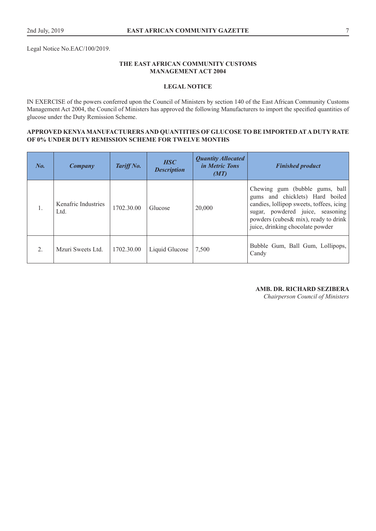Legal Notice No.EAC/100/2019.

# **THE EAST AFRICAN COMMUNITY CUSTOMS MANAGEMENT ACT 2004**

# **LEGAL NOTICE**

IN EXERCISE of the powers conferred upon the Council of Ministers by section 140 of the East African Community Customs Management Act 2004, the Council of Ministers has approved the following Manufacturers to import the specified quantities of glucose under the Duty Remission Scheme.

## **APPROVED KENYA MANUFACTURERS AND QUANTITIES OF GLUCOSE TO BE IMPORTED AT A DUTY RATE OF 0% UNDER DUTY REMISSION SCHEME FOR TWELVE MONTHS**

| No.              | Company                     | Tariff No. | <b>HSC</b><br><b>Description</b> | <b>Quantity Allocated</b><br><i>in Metric Tons</i><br>(MT) | <b>Finished product</b>                                                                                                                                                                                                        |
|------------------|-----------------------------|------------|----------------------------------|------------------------------------------------------------|--------------------------------------------------------------------------------------------------------------------------------------------------------------------------------------------------------------------------------|
| 1.               | Kenafric Industries<br>Ltd. | 1702.30.00 | Glucose                          | 20,000                                                     | Chewing gum (bubble gums, ball<br>gums and chicklets) Hard boiled<br>candies, lollipop sweets, toffees, icing<br>sugar, powdered juice, seasoning<br>powders (cubes & mix), ready to drink<br>juice, drinking chocolate powder |
| $\overline{2}$ . | Mzuri Sweets Ltd.           | 1702.30.00 | Liquid Glucose                   | 7,500                                                      | Bubble Gum, Ball Gum, Lollipops,<br>Candy                                                                                                                                                                                      |

#### **AMB. DR. RICHARD SEZIBERA**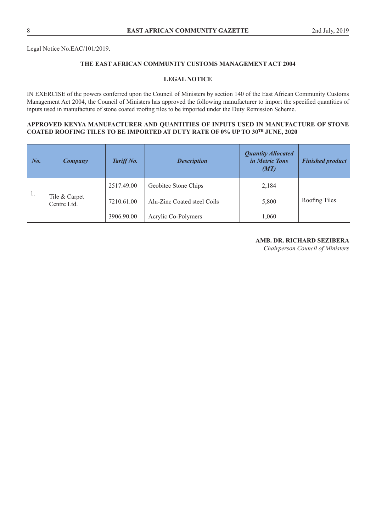Legal Notice No.EAC/101/2019.

# **THE EAST AFRICAN COMMUNITY CUSTOMS MANAGEMENT ACT 2004**

# **LEGAL NOTICE**

IN EXERCISE of the powers conferred upon the Council of Ministers by section 140 of the East African Community Customs Management Act 2004, the Council of Ministers has approved the following manufacturer to import the specified quantities of inputs used in manufacture of stone coated roofing tiles to be imported under the Duty Remission Scheme.

# **APPROVED KENYA MANUFACTURER AND QUANTITIES OF INPUTS USED IN MANUFACTURE OF STONE COATED ROOFING TILES TO BE IMPORTED AT DUTY RATE OF 0% UP TO 30TH JUNE, 2020**

| $\mathbf{N}$ o. | Company                      | Tariff No. | <b>Description</b>          | <b>Quantity Allocated</b><br><i>in Metric Tons</i><br>(MT) | <b>Finished product</b> |
|-----------------|------------------------------|------------|-----------------------------|------------------------------------------------------------|-------------------------|
| 1.              | Tile & Carpet<br>Centre Ltd. | 2517.49.00 | Geobitec Stone Chips        | 2,184                                                      |                         |
|                 |                              | 7210.61.00 | Alu-Zinc Coated steel Coils | 5,800                                                      | Roofing Tiles           |
|                 |                              | 3906.90.00 | Acrylic Co-Polymers         | 1,060                                                      |                         |

# **AMB. DR. RICHARD SEZIBERA**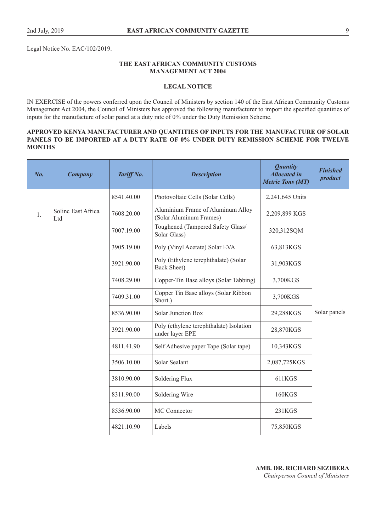Legal Notice No. EAC/102/2019.

# **THE EAST AFRICAN COMMUNITY CUSTOMS MANAGEMENT ACT 2004**

# **LEGAL NOTICE**

IN EXERCISE of the powers conferred upon the Council of Ministers by section 140 of the East African Community Customs Management Act 2004, the Council of Ministers has approved the following manufacturer to import the specified quantities of inputs for the manufacture of solar panel at a duty rate of 0% under the Duty Remission Scheme.

# **APPROVED KENYA MANUFACTURER AND QUANTITIES OF INPUTS FOR THE MANUFACTURE OF SOLAR PANELS TO BE IMPORTED AT A DUTY RATE OF 0% UNDER DUTY REMISSION SCHEME FOR TWELVE MONTHS**

| No. | <b>Company</b>            | Tariff No. | <b>Description</b>                                           | <b>Quantity</b><br><b>Allocated in</b><br><b>Metric Tons (MT)</b> | <b>Finished</b><br>product |
|-----|---------------------------|------------|--------------------------------------------------------------|-------------------------------------------------------------------|----------------------------|
|     |                           | 8541.40.00 | Photovoltaic Cells (Solar Cells)                             | 2,241,645 Units                                                   |                            |
| 1.  | Soline East Africa<br>Ltd | 7608.20.00 | Aluminium Frame of Aluminum Alloy<br>(Solar Aluminum Frames) | 2,209,899 KGS                                                     |                            |
|     |                           | 7007.19.00 | Toughened (Tampered Safety Glass/<br>Solar Glass)            | 320,312SQM                                                        |                            |
|     |                           | 3905.19.00 | Poly (Vinyl Acetate) Solar EVA                               | 63,813KGS                                                         |                            |
|     |                           | 3921.90.00 | Poly (Ethylene terephthalate) (Solar<br><b>Back Sheet)</b>   | 31,903KGS                                                         |                            |
|     |                           | 7408.29.00 | Copper-Tin Base alloys (Solar Tabbing)                       | 3,700KGS                                                          |                            |
|     |                           | 7409.31.00 | Copper Tin Base alloys (Solar Ribbon<br>Short.)              | 3,700KGS                                                          |                            |
|     |                           | 8536.90.00 | <b>Solar Junction Box</b>                                    | 29,288KGS                                                         | Solar panels               |
|     |                           | 3921.90.00 | Poly (ethylene terephthalate) Isolation<br>under layer EPE   | 28,870KGS                                                         |                            |
|     |                           | 4811.41.90 | Self Adhesive paper Tape (Solar tape)                        | 10,343KGS                                                         |                            |
|     |                           | 3506.10.00 | Solar Sealant                                                | 2,087,725KGS                                                      |                            |
|     |                           | 3810.90.00 | Soldering Flux                                               | 611KGS                                                            |                            |
|     |                           | 8311.90.00 | Soldering Wire                                               | <b>160KGS</b>                                                     |                            |
|     |                           | 8536.90.00 | MC Connector                                                 | 231KGS                                                            |                            |
|     |                           | 4821.10.90 | Labels                                                       | 75,850KGS                                                         |                            |

# **AMB. DR. RICHARD SEZIBERA**  *Chairperson Council of Ministers*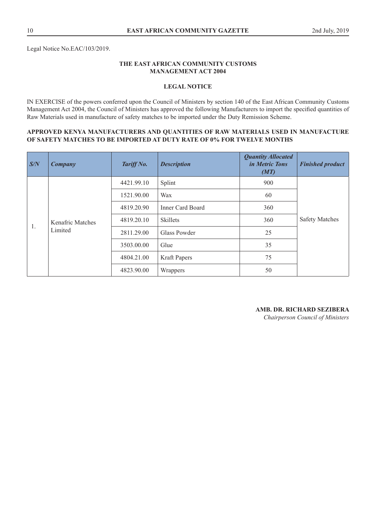Legal Notice No.EAC/103/2019.

# **THE EAST AFRICAN COMMUNITY CUSTOMS MANAGEMENT ACT 2004**

# **LEGAL NOTICE**

IN EXERCISE of the powers conferred upon the Council of Ministers by section 140 of the East African Community Customs Management Act 2004, the Council of Ministers has approved the following Manufacturers to import the specified quantities of Raw Materials used in manufacture of safety matches to be imported under the Duty Remission Scheme.

#### **APPROVED KENYA MANUFACTURERS AND QUANTITIES OF RAW MATERIALS USED IN MANUFACTURE OF SAFETY MATCHES TO BE IMPORTED AT DUTY RATE OF 0% FOR TWELVE MONTHS**

| S/N | Company          | Tariff No. | <b>Description</b>      | <b>Quantity Allocated</b><br><i>in Metric Tons</i><br>(MT) | <b>Finished product</b> |  |
|-----|------------------|------------|-------------------------|------------------------------------------------------------|-------------------------|--|
|     |                  | 4421.99.10 | Splint                  | 900                                                        |                         |  |
|     |                  | 1521.90.00 | Wax                     | 60                                                         |                         |  |
|     |                  | 4819.20.90 | <b>Inner Card Board</b> | 360                                                        | <b>Safety Matches</b>   |  |
|     | Kenafric Matches | 4819.20.10 | <b>Skillets</b>         | 360                                                        |                         |  |
| 1.  | Limited          | 2811.29.00 | Glass Powder            | 25                                                         |                         |  |
|     |                  |            | 3503.00.00              | Glue                                                       | 35                      |  |
|     |                  | 4804.21.00 | <b>Kraft Papers</b>     | 75                                                         |                         |  |
|     |                  | 4823.90.00 | Wrappers                | 50                                                         |                         |  |

# **AMB. DR. RICHARD SEZIBERA**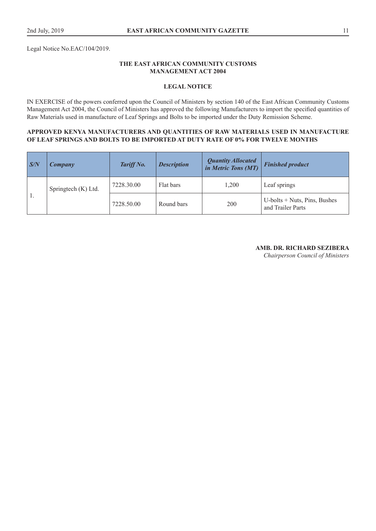Legal Notice No.EAC/104/2019.

# **THE EAST AFRICAN COMMUNITY CUSTOMS MANAGEMENT ACT 2004**

# **LEGAL NOTICE**

IN EXERCISE of the powers conferred upon the Council of Ministers by section 140 of the East African Community Customs Management Act 2004, the Council of Ministers has approved the following Manufacturers to import the specified quantities of Raw Materials used in manufacture of Leaf Springs and Bolts to be imported under the Duty Remission Scheme.

## **APPROVED KENYA MANUFACTURERS AND QUANTITIES OF RAW MATERIALS USED IN MANUFACTURE OF LEAF SPRINGS AND BOLTS TO BE IMPORTED AT DUTY RATE OF 0% FOR TWELVE MONTHS**

| S/N | <b>Company</b>      | Tariff No. | <b>Description</b> | <b>Quantity Allocated</b><br>in Metric Tons (MT) | <b>Finished product</b> |
|-----|---------------------|------------|--------------------|--------------------------------------------------|-------------------------|
| 1.  | Springtech (K) Ltd. | 7228.30.00 | Flat bars          | 1.200                                            | Leaf springs            |
|     |                     |            | 7228.50.00         | Round bars                                       | 200                     |

#### **AMB. DR. RICHARD SEZIBERA**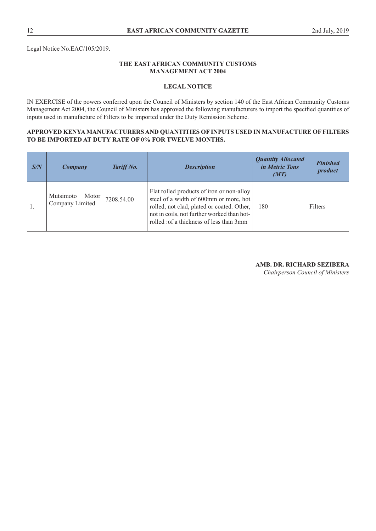Legal Notice No.EAC/105/2019.

# **THE EAST AFRICAN COMMUNITY CUSTOMS MANAGEMENT ACT 2004**

# **LEGAL NOTICE**

IN EXERCISE of the powers conferred upon the Council of Ministers by section 140 of the East African Community Customs Management Act 2004, the Council of Ministers has approved the following manufacturers to import the specified quantities of inputs used in manufacture of Filters to be imported under the Duty Remission Scheme.

# **APPROVED KENYA MANUFACTURERS AND QUANTITIES OF INPUTS USED IN MANUFACTURE OF FILTERS TO BE IMPORTED AT DUTY RATE OF 0% FOR TWELVE MONTHS.**

| S/N | Company                                 | Tariff No. | <b>Description</b>                                                                                                                                                                                                          | <b>Quantity Allocated</b><br><i>in Metric Tons</i><br>(MT) | <b>Finished</b><br>product |
|-----|-----------------------------------------|------------|-----------------------------------------------------------------------------------------------------------------------------------------------------------------------------------------------------------------------------|------------------------------------------------------------|----------------------------|
| 1.  | Mutsimoto<br>Motor  <br>Company Limited | 7208.54.00 | Flat rolled products of iron or non-alloy<br>steel of a width of 600mm or more, hot<br>rolled, not clad, plated or coated. Other,<br>not in coils, not further worked than hot-<br>rolled : of a thickness of less than 3mm | 180                                                        | Filters                    |

## **AMB. DR. RICHARD SEZIBERA**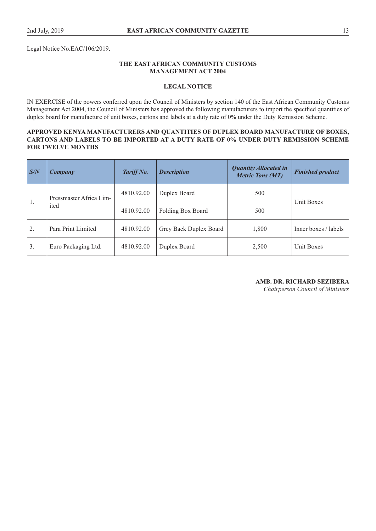Legal Notice No.EAC/106/2019.

# **THE EAST AFRICAN COMMUNITY CUSTOMS MANAGEMENT ACT 2004**

# **LEGAL NOTICE**

IN EXERCISE of the powers conferred upon the Council of Ministers by section 140 of the East African Community Customs Management Act 2004, the Council of Ministers has approved the following manufacturers to import the specified quantities of duplex board for manufacture of unit boxes, cartons and labels at a duty rate of 0% under the Duty Remission Scheme.

# **APPROVED KENYA MANUFACTURERS AND QUANTITIES OF DUPLEX BOARD MANUFACTURE OF BOXES, CARTONS AND LABELS TO BE IMPORTED AT A DUTY RATE OF 0% UNDER DUTY REMISSION SCHEME FOR TWELVE MONTHS**

| $\mathbf{S/N}$ | Company                         | Tariff No. | <b>Description</b>     | <b>Quantity Allocated in</b><br><b>Metric Tons (MT)</b> | <b>Finished product</b> |  |
|----------------|---------------------------------|------------|------------------------|---------------------------------------------------------|-------------------------|--|
| $\mathbf{1}$ . | Pressmaster Africa Lim-<br>ited | 4810.92.00 | Duplex Board           | 500                                                     | Unit Boxes              |  |
|                |                                 | 4810.92.00 | Folding Box Board      | 500                                                     |                         |  |
| 2.             | Para Print Limited              | 4810.92.00 | Grey Back Duplex Board | 1,800                                                   | Inner boxes / labels    |  |
| 3.             | Euro Packaging Ltd.             | 4810.92.00 | Duplex Board           | 2,500                                                   | Unit Boxes              |  |

**AMB. DR. RICHARD SEZIBERA**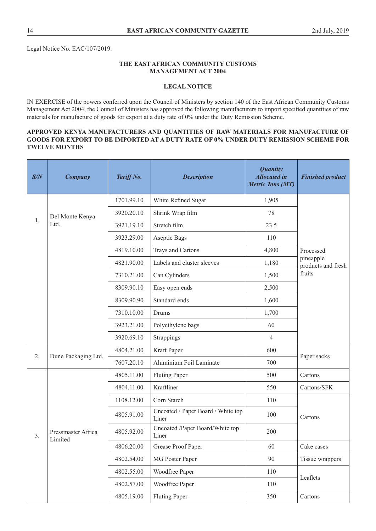Legal Notice No. EAC/107/2019.

# **THE EAST AFRICAN COMMUNITY CUSTOMS MANAGEMENT ACT 2004**

# **LEGAL NOTICE**

IN EXERCISE of the powers conferred upon the Council of Ministers by section 140 of the East African Community Customs Management Act 2004, the Council of Ministers has approved the following manufacturers to import specified quantities of raw materials for manufacture of goods for export at a duty rate of 0% under the Duty Remission Scheme.

# **APPROVED KENYA MANUFACTURERS AND QUANTITIES OF RAW MATERIALS FOR MANUFACTURE OF GOODS FOR EXPORT TO BE IMPORTED AT A DUTY RATE OF 0% UNDER DUTY REMISSION SCHEME FOR TWELVE MONTHS**

| S/N | <b>Company</b>                | <b>Tariff No.</b> | <b>Description</b>                          | <b>Quantity</b><br><b>Allocated in</b><br><b>Metric Tons (MT)</b> | <b>Finished product</b>         |
|-----|-------------------------------|-------------------|---------------------------------------------|-------------------------------------------------------------------|---------------------------------|
|     |                               | 1701.99.10        | White Refined Sugar                         | 1,905                                                             |                                 |
|     | Del Monte Kenya               | 3920.20.10        | Shrink Wrap film                            | 78                                                                |                                 |
| 1.  | Ltd.                          | 3921.19.10        | Stretch film                                | 23.5                                                              |                                 |
|     |                               | 3923.29.00        | Aseptic Bags                                | 110                                                               |                                 |
|     |                               | 4819.10.00        | Trays and Cartons                           | 4,800                                                             | Processed                       |
|     |                               | 4821.90.00        | Labels and cluster sleeves                  | 1,180                                                             | pineapple<br>products and fresh |
|     |                               | 7310.21.00        | Can Cylinders                               | 1,500                                                             | fruits                          |
|     |                               | 8309.90.10        | Easy open ends                              | 2,500                                                             |                                 |
|     |                               | 8309.90.90        | Standard ends                               | 1,600                                                             |                                 |
|     |                               | 7310.10.00        | Drums                                       | 1,700                                                             |                                 |
|     |                               | 3923.21.00        | Polyethylene bags                           | 60                                                                |                                 |
|     |                               | 3920.69.10        | Strappings                                  | $\overline{4}$                                                    |                                 |
| 2.  | Dune Packaging Ltd.           | 4804.21.00        | Kraft Paper                                 | 600                                                               |                                 |
|     |                               | 7607.20.10        | Aluminium Foil Laminate                     | 700                                                               | Paper sacks                     |
|     |                               | 4805.11.00        | <b>Fluting Paper</b>                        | 500                                                               | Cartons                         |
|     | Pressmaster Africa<br>Limited | 4804.11.00        | Kraftliner                                  | 550                                                               | Cartons/SFK                     |
|     |                               | 1108.12.00        | Corn Starch                                 | 110                                                               |                                 |
| 3.  |                               | 4805.91.00        | Uncoated / Paper Board / White top<br>Liner | 100                                                               | Cartons                         |
|     |                               | 4805.92.00        | Uncoated /Paper Board/White top<br>Liner    | 200                                                               |                                 |
|     |                               | 4806.20.00        | Grease Proof Paper                          | 60                                                                | Cake cases                      |
|     |                               | 4802.54.00        | MG Poster Paper                             | 90                                                                | Tissue wrappers                 |
|     |                               | 4802.55.00        | Woodfree Paper                              | 110                                                               | Leaflets                        |
|     |                               | 4802.57.00        | Woodfree Paper                              | 110                                                               |                                 |
|     |                               | 4805.19.00        | <b>Fluting Paper</b>                        | 350                                                               | Cartons                         |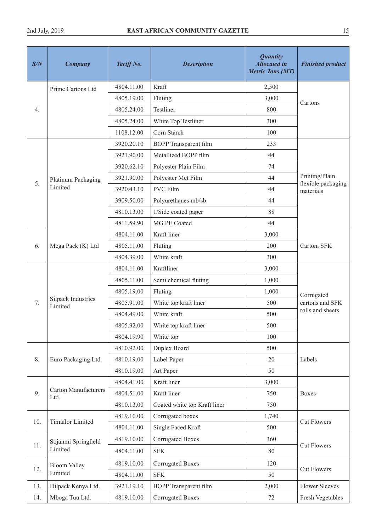| S/N | <b>Company</b>                       | Tariff No. | <b>Description</b>                    | <b>Quantity</b><br><b>Allocated in</b><br><b>Metric Tons (MT)</b> | <b>Finished product</b>         |
|-----|--------------------------------------|------------|---------------------------------------|-------------------------------------------------------------------|---------------------------------|
|     | Prime Cartons Ltd                    | 4804.11.00 | Kraft                                 | 2,500                                                             |                                 |
|     |                                      | 4805.19.00 | Fluting                               | 3,000                                                             | Cartons                         |
| 4.  |                                      | 4805.24.00 | Testliner                             | 800                                                               |                                 |
|     |                                      | 4805.24.00 | White Top Testliner                   | 300                                                               |                                 |
|     |                                      | 1108.12.00 | Corn Starch                           | 100                                                               |                                 |
|     |                                      | 3920.20.10 | <b>BOPP</b> Transparent film          | 233                                                               |                                 |
|     |                                      | 3921.90.00 | Metallized BOPP film                  | 44                                                                |                                 |
|     |                                      | 3920.62.10 | Polyester Plain Film                  | 74                                                                |                                 |
|     | Platinum Packaging                   | 3921.90.00 | Polyester Met Film                    | 44                                                                | Printing/Plain                  |
| 5.  | Limited                              | 3920.43.10 | PVC Film                              | 44                                                                | flexible packaging<br>materials |
|     |                                      | 3909.50.00 | Polyurethanes mb/sb                   | 44                                                                |                                 |
|     |                                      | 4810.13.00 | 1/Side coated paper                   | 88                                                                |                                 |
|     |                                      | 4811.59.90 | MG PE Coated                          | 44                                                                |                                 |
|     | Mega Pack (K) Ltd                    | 4804.11.00 | Kraft liner                           | 3,000                                                             |                                 |
| 6.  |                                      | 4805.11.00 | Fluting                               | 200                                                               | Carton, SFK                     |
|     |                                      | 4804.39.00 | White kraft                           | 300                                                               |                                 |
|     | <b>Silpack Industries</b><br>Limited | 4804.11.00 | Kraftliner                            | 3,000                                                             |                                 |
|     |                                      | 4805.11.00 | Semi chemical fluting                 | 1,000                                                             |                                 |
|     |                                      | 4805.19.00 | Fluting                               | 1,000                                                             | Corrugated                      |
| 7.  |                                      | 4805.91.00 | White top kraft liner                 | 500                                                               | cartons and SFK                 |
|     |                                      | 4804.49.00 | White kraft                           | 500                                                               | rolls and sheets                |
|     |                                      | 4805.92.00 | White top kraft liner                 | 500                                                               |                                 |
|     |                                      | 4804.19.90 | White top                             | 100                                                               |                                 |
|     |                                      | 4810.92.00 | Duplex Board                          | 500                                                               |                                 |
| 8.  | Euro Packaging Ltd.                  | 4810.19.00 | Label Paper                           | 20                                                                | Labels                          |
|     |                                      | 4810.19.00 | Art Paper                             | 50                                                                |                                 |
|     |                                      | 4804.41.00 | Kraft liner                           | 3,000                                                             |                                 |
| 9.  | <b>Carton Manufacturers</b><br>Ltd.  | 4804.51.00 | Kraft liner                           | 750                                                               | <b>Boxes</b>                    |
|     |                                      | 4810.13.00 | Coated white top Kraft liner          | 750                                                               |                                 |
|     |                                      | 4819.10.00 | Corrugated boxes                      | 1,740                                                             |                                 |
| 10. | <b>Timaflor Limited</b>              | 4804.11.00 | Single Faced Kraft                    | 500                                                               | <b>Cut Flowers</b>              |
|     | Sojanmi Springfield                  | 4819.10.00 | <b>Corrugated Boxes</b>               | 360                                                               |                                 |
| 11. | Limited                              | 4804.11.00 | <b>SFK</b>                            | 80                                                                | <b>Cut Flowers</b>              |
|     | <b>Bloom Valley</b>                  | 4819.10.00 | <b>Corrugated Boxes</b>               | 120                                                               |                                 |
| 12. | Limited                              | 4804.11.00 | <b>SFK</b>                            | 50                                                                | <b>Cut Flowers</b>              |
| 13. | Dilpack Kenya Ltd.                   | 3921.19.10 | <b>BOPP</b> Transparent film<br>2,000 |                                                                   | <b>Flower Sleeves</b>           |
| 14. | Mboga Tuu Ltd.                       | 4819.10.00 | <b>Corrugated Boxes</b>               | 72                                                                | Fresh Vegetables                |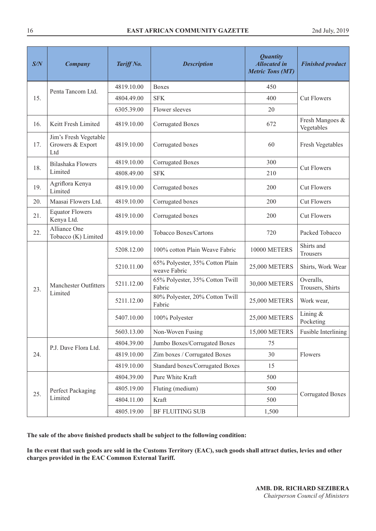| S/N | <b>Company</b>                                   | Tariff No. | <b>Description</b>                              | <b>Quantity</b><br><b>Allocated in</b><br><b>Metric Tons (MT)</b> | <b>Finished product</b>       |
|-----|--------------------------------------------------|------------|-------------------------------------------------|-------------------------------------------------------------------|-------------------------------|
|     | Penta Tancom Ltd.                                | 4819.10.00 | <b>Boxes</b>                                    | 450                                                               |                               |
| 15. |                                                  | 4804.49.00 | <b>SFK</b>                                      | 400                                                               | <b>Cut Flowers</b>            |
|     |                                                  | 6305.39.00 | Flower sleeves                                  | 20                                                                |                               |
| 16. | Keitt Fresh Limited                              | 4819.10.00 | <b>Corrugated Boxes</b>                         | 672                                                               | Fresh Mangoes &<br>Vegetables |
| 17. | Jim's Fresh Vegetable<br>Growers & Export<br>Ltd | 4819.10.00 | Corrugated boxes                                | 60                                                                | Fresh Vegetables              |
| 18. | Bilashaka Flowers                                | 4819.10.00 | <b>Corrugated Boxes</b>                         | 300                                                               | <b>Cut Flowers</b>            |
|     | Limited                                          | 4808.49.00 | <b>SFK</b>                                      | 210                                                               |                               |
| 19. | Agriflora Kenya<br>Limited                       | 4819.10.00 | Corrugated boxes                                | 200                                                               | <b>Cut Flowers</b>            |
| 20. | Maasai Flowers Ltd.                              | 4819.10.00 | Corrugated boxes                                | 200                                                               | <b>Cut Flowers</b>            |
| 21. | <b>Equator Flowers</b><br>Kenya Ltd.             | 4819.10.00 | Corrugated boxes                                | 200                                                               | <b>Cut Flowers</b>            |
| 22. | Alliance One<br>Tobacco (K) Limited              | 4819.10.00 | Tobacco Boxes/Cartons                           | 720                                                               | Packed Tobacco                |
|     | <b>Manchester Outfitters</b><br>Limited          | 5208.12.00 | 100% cotton Plain Weave Fabric                  | 10000 METERS                                                      | Shirts and<br>Trousers        |
|     |                                                  | 5210.11.00 | 65% Polyester, 35% Cotton Plain<br>weave Fabric | 25,000 METERS                                                     | Shirts, Work Wear             |
| 23. |                                                  | 5211.12.00 | 65% Polyester, 35% Cotton Twill<br>Fabric       | 30,000 METERS                                                     | Overalls,<br>Trousers, Shirts |
|     |                                                  | 5211.12.00 | 80% Polyester, 20% Cotton Twill<br>Fabric       | 25,000 METERS                                                     | Work wear,                    |
|     |                                                  | 5407.10.00 | 100% Polyester                                  | 25,000 METERS                                                     | Lining $&$<br>Pocketing       |
|     |                                                  | 5603.13.00 | Non-Woven Fusing                                | 15,000 METERS                                                     | Fusible Interlining           |
|     | P.J. Dave Flora Ltd.                             | 4804.39.00 | Jumbo Boxes/Corrugated Boxes                    | 75                                                                |                               |
| 24. |                                                  | 4819.10.00 | Zim boxes / Corrugated Boxes                    | 30                                                                | Flowers                       |
|     |                                                  | 4819.10.00 | <b>Standard boxes/Corrugated Boxes</b>          | 15                                                                |                               |
|     |                                                  | 4804.39.00 | Pure White Kraft                                | 500                                                               |                               |
| 25. | Perfect Packaging                                | 4805.19.00 | Fluting (medium)                                | 500                                                               | <b>Corrugated Boxes</b>       |
|     | Limited                                          | 4804.11.00 | Kraft                                           | 500                                                               |                               |
|     |                                                  | 4805.19.00 | <b>BF FLUITING SUB</b>                          | 1,500                                                             |                               |

**The sale of the above finished products shall be subject to the following condition:**

**In the event that such goods are sold in the Customs Territory (EAC), such goods shall attract duties, levies and other charges provided in the EAC Common External Tariff.**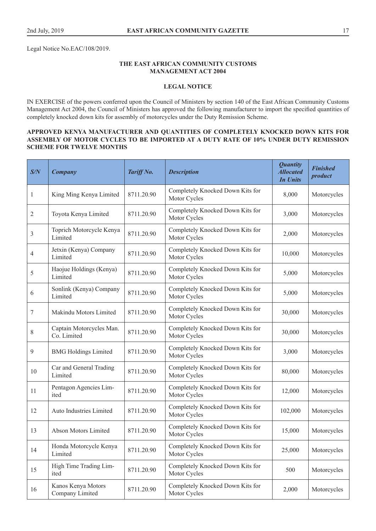Legal Notice No.EAC/108/2019.

# **THE EAST AFRICAN COMMUNITY CUSTOMS MANAGEMENT ACT 2004**

# **LEGAL NOTICE**

IN EXERCISE of the powers conferred upon the Council of Ministers by section 140 of the East African Community Customs Management Act 2004, the Council of Ministers has approved the following manufacturer to import the specified quantities of completely knocked down kits for assembly of motorcycles under the Duty Remission Scheme.

# **APPROVED KENYA MANUFACTURER AND QUANTITIES OF COMPLETELY KNOCKED DOWN KITS FOR ASSEMBLY OF MOTOR CYCLES TO BE IMPORTED AT A DUTY RATE OF 10% UNDER DUTY REMISSION SCHEME FOR TWELVE MONTHS**

| S/N | <b>Company</b>                          | Tariff No. | <b>Description</b>                               | <b>Quantity</b><br><b>Allocated</b><br><b>In Units</b> | <b>Finished</b><br>product |
|-----|-----------------------------------------|------------|--------------------------------------------------|--------------------------------------------------------|----------------------------|
| 1   | King Ming Kenya Limited                 | 8711.20.90 | Completely Knocked Down Kits for<br>Motor Cycles | 8,000                                                  | Motorcycles                |
| 2   | Toyota Kenya Limited                    | 8711.20.90 | Completely Knocked Down Kits for<br>Motor Cycles | 3,000                                                  | Motorcycles                |
| 3   | Toprich Motorcycle Kenya<br>Limited     | 8711.20.90 | Completely Knocked Down Kits for<br>Motor Cycles | 2,000                                                  | Motorcycles                |
| 4   | Jetxin (Kenya) Company<br>Limited       | 8711.20.90 | Completely Knocked Down Kits for<br>Motor Cycles | 10,000                                                 | Motorcycles                |
| 5   | Haojue Holdings (Kenya)<br>Limited      | 8711.20.90 | Completely Knocked Down Kits for<br>Motor Cycles | 5,000                                                  | Motorcycles                |
| 6   | Sonlink (Kenya) Company<br>Limited      | 8711.20.90 | Completely Knocked Down Kits for<br>Motor Cycles | 5,000                                                  | Motorcycles                |
| 7   | Makindu Motors Limited                  | 8711.20.90 | Completely Knocked Down Kits for<br>Motor Cycles | 30,000                                                 | Motorcycles                |
| 8   | Captain Motorcycles Man.<br>Co. Limited | 8711.20.90 | Completely Knocked Down Kits for<br>Motor Cycles | 30,000                                                 | Motorcycles                |
| 9   | <b>BMG</b> Holdings Limited             | 8711.20.90 | Completely Knocked Down Kits for<br>Motor Cycles | 3,000                                                  | Motorcycles                |
| 10  | Car and General Trading<br>Limited      | 8711.20.90 | Completely Knocked Down Kits for<br>Motor Cycles | 80,000                                                 | Motorcycles                |
| 11  | Pentagon Agencies Lim-<br>ited          | 8711.20.90 | Completely Knocked Down Kits for<br>Motor Cycles | 12,000                                                 | Motorcycles                |
| 12  | Auto Industries Limited                 | 8711.20.90 | Completely Knocked Down Kits for<br>Motor Cycles | 102,000                                                | Motorcycles                |
| 13  | Abson Motors Limited                    | 8711.20.90 | Completely Knocked Down Kits for<br>Motor Cycles | 15,000                                                 | Motorcycles                |
| 14  | Honda Motorcycle Kenya<br>Limited       | 8711.20.90 | Completely Knocked Down Kits for<br>Motor Cycles | 25,000                                                 | Motorcycles                |
| 15  | High Time Trading Lim-<br>ited          | 8711.20.90 | Completely Knocked Down Kits for<br>Motor Cycles | 500                                                    | Motorcycles                |
| 16  | Kanos Kenya Motors<br>Company Limited   | 8711.20.90 | Completely Knocked Down Kits for<br>Motor Cycles | 2,000                                                  | Motorcycles                |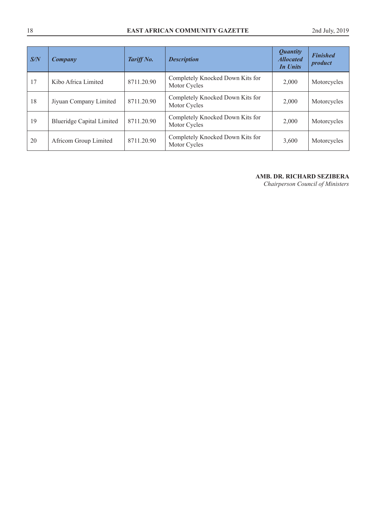| S/N | Company                          | Tariff No. | <b>Description</b>                               | <b>Quantity</b><br><b>Allocated</b><br>In Units | <b>Finished</b><br><i>product</i> |
|-----|----------------------------------|------------|--------------------------------------------------|-------------------------------------------------|-----------------------------------|
| 17  | Kibo Africa Limited              | 8711.20.90 | Completely Knocked Down Kits for<br>Motor Cycles | 2,000                                           | Motorcycles                       |
| 18  | Jiyuan Company Limited           | 8711.20.90 | Completely Knocked Down Kits for<br>Motor Cycles | 2,000                                           | Motorcycles                       |
| 19  | <b>Blueridge Capital Limited</b> | 8711.20.90 | Completely Knocked Down Kits for<br>Motor Cycles | 2,000                                           | Motorcycles                       |
| 20  | Africom Group Limited            | 8711.20.90 | Completely Knocked Down Kits for<br>Motor Cycles | 3,600                                           | Motorcycles                       |

# **AMB. DR. RICHARD SEZIBERA**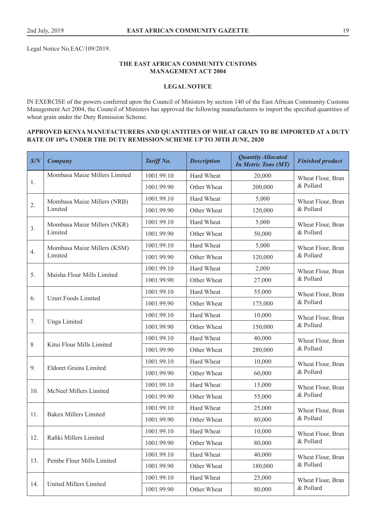Legal Notice No.EAC/109/2019.

# **THE EAST AFRICAN COMMUNITY CUSTOMS MANAGEMENT ACT 2004**

# **LEGAL NOTICE**

IN EXERCISE of the powers conferred upon the Council of Ministers by section 140 of the East African Community Customs Management Act 2004, the Council of Ministers has approved the following manufacturers to import the specified quantities of wheat grain under the Duty Remission Scheme.

## **APPROVED KENYA MANUFACTURERS AND QUANTITIES OF WHEAT GRAIN TO BE IMPORTED AT A DUTY RATE OF 10% UNDER THE DUTY REMISSION SCHEME UP TO 30TH JUNE, 2020**

| S/N   | <b>Company</b>                | Tariff No. | <b>Description</b> | <b>Quantity Allocated</b><br><b>In Metric Tons (MT)</b> | <b>Finished product</b> |
|-------|-------------------------------|------------|--------------------|---------------------------------------------------------|-------------------------|
|       | Mombasa Maize Millers Limited | 1001.99.10 | Hard Wheat         | 20,000                                                  | Wheat Flour, Bran       |
| 1.    |                               | 1001.99.90 | Other Wheat        | 200,000                                                 | & Pollard               |
|       | Mombasa Maize Millers (NRB)   | 1001.99.10 | Hard Wheat         | 5,000                                                   | Wheat Flour, Bran       |
| 2.    | Limited                       | 1001.99.90 | Other Wheat        | 120,000                                                 | & Pollard               |
|       | Mombasa Maize Millers (NKR)   | 1001.99.10 | Hard Wheat         | 5,000                                                   | Wheat Flour, Bran       |
| 3.    | Limited                       | 1001.99.90 | Other Wheat        | 50,000                                                  | & Pollard               |
|       | Mombasa Maize Millers (KSM)   | 1001.99.10 | Hard Wheat         | 5,000                                                   | Wheat Flour, Bran       |
| 4.    | Limited                       | 1001.99.90 | Other Wheat        | 120,000                                                 | & Pollard               |
|       |                               | 1001.99.10 | Hard Wheat         | 2,000                                                   | Wheat Flour, Bran       |
| 5.    | Maisha Flour Mills Limited    | 1001.99.90 | Other Wheat        | 27,000                                                  | & Pollard               |
|       |                               | 1001.99.10 | Hard Wheat         | 55,000                                                  | Wheat Flour, Bran       |
| 6.    | Uzuri Foods Limited           | 1001.99.90 | Other Wheat        | 175,000                                                 | & Pollard               |
|       | Unga Limited                  | 1001.99.10 | Hard Wheat         | 10,000                                                  | Wheat Flour, Bran       |
| 7.    |                               | 1001.99.90 | Other Wheat        | 150,000                                                 | & Pollard               |
|       | Kitui Flour Mills Limited     | 1001.99.10 | Hard Wheat         | 40,000                                                  | Wheat Flour, Bran       |
| $8\,$ |                               | 1001.99.90 | Other Wheat        | 280,000                                                 | & Pollard               |
|       | <b>Eldoret Grains Limited</b> | 1001.99.10 | Hard Wheat         | 10,000                                                  | Wheat Flour, Bran       |
| 9.    |                               | 1001.99.90 | Other Wheat        | 60,000                                                  | & Pollard               |
|       |                               | 1001.99.10 | Hard Wheat         | 15,000                                                  | Wheat Flour, Bran       |
| 10.   | McNeel Millers Limited        | 1001.99.90 | Other Wheat        | 55,000                                                  | & Pollard               |
|       |                               | 1001.99.10 | Hard Wheat         | 25,000                                                  | Wheat Flour, Bran       |
| 11.   | <b>Bakex Millers Limited</b>  | 1001.99.90 | Other Wheat        | 80,000                                                  | & Pollard               |
|       |                               | 1001.99.10 | Hard Wheat         | 10,000                                                  | Wheat Flour, Bran       |
| 12.   | Rafiki Millers Limited        | 1001.99.90 | Other Wheat        | 80,000                                                  | & Pollard               |
|       |                               | 1001.99.10 | Hard Wheat         | 40,000                                                  | Wheat Flour, Bran       |
| 13.   | Pembe Flour Mills Limited     | 1001.99.90 | Other Wheat        | 180,000                                                 | & Pollard               |
|       |                               | 1001.99.10 | Hard Wheat         | 25,000                                                  | Wheat Flour, Bran       |
| 14.   | United Millers Limited        | 1001.99.90 | Other Wheat        | 80,000                                                  | & Pollard               |